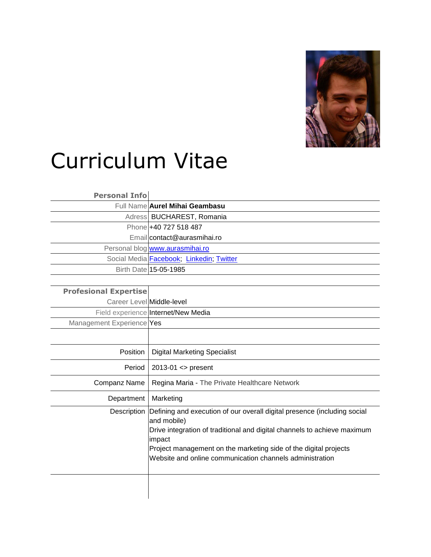

## Curriculum Vitae

## **Personal Info**

| Full Name Aurel Mihai Geambasu           |
|------------------------------------------|
| Adress BUCHAREST, Romania                |
| Phone +40 727 518 487                    |
| Email contact@aurasmihai.ro              |
| Personal blog www.aurasmihai.ro          |
| Social Media Facebook; Linkedin; Twitter |
| Birth Date 15-05-1985                    |
|                                          |

## **Profesional Expertise**

Career Level Middle-level

Field experience Internet/New Media

| Management Experience Yes |  |
|---------------------------|--|
|---------------------------|--|

| Position     | <b>Digital Marketing Specialist</b>                                                                                                                                                                                                                                                                                       |
|--------------|---------------------------------------------------------------------------------------------------------------------------------------------------------------------------------------------------------------------------------------------------------------------------------------------------------------------------|
| Period       | $2013-01 \leq$ present                                                                                                                                                                                                                                                                                                    |
| Companz Name | Regina Maria - The Private Healthcare Network                                                                                                                                                                                                                                                                             |
| Department   | Marketing                                                                                                                                                                                                                                                                                                                 |
|              | Description Defining and execution of our overall digital presence (including social<br>and mobile)<br>Drive integration of traditional and digital channels to achieve maximum<br>impact<br>Project management on the marketing side of the digital projects<br>Website and online communication channels administration |
|              |                                                                                                                                                                                                                                                                                                                           |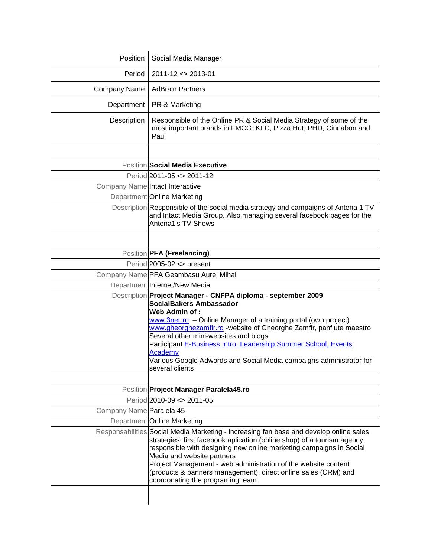| Position                 | Social Media Manager                                                                                                                                                                                                                                                                                                                                                                                                                                                           |
|--------------------------|--------------------------------------------------------------------------------------------------------------------------------------------------------------------------------------------------------------------------------------------------------------------------------------------------------------------------------------------------------------------------------------------------------------------------------------------------------------------------------|
| Period                   | $2011 - 12 \le 2013 - 01$                                                                                                                                                                                                                                                                                                                                                                                                                                                      |
| Company Name             | <b>AdBrain Partners</b>                                                                                                                                                                                                                                                                                                                                                                                                                                                        |
| Department               | PR & Marketing                                                                                                                                                                                                                                                                                                                                                                                                                                                                 |
| Description              | Responsible of the Online PR & Social Media Strategy of some of the<br>most important brands in FMCG: KFC, Pizza Hut, PHD, Cinnabon and<br>Paul                                                                                                                                                                                                                                                                                                                                |
|                          |                                                                                                                                                                                                                                                                                                                                                                                                                                                                                |
|                          | Position Social Media Executive                                                                                                                                                                                                                                                                                                                                                                                                                                                |
|                          | Period 2011-05 <> 2011-12                                                                                                                                                                                                                                                                                                                                                                                                                                                      |
|                          | Company Name Intact Interactive                                                                                                                                                                                                                                                                                                                                                                                                                                                |
|                          | Department Online Marketing                                                                                                                                                                                                                                                                                                                                                                                                                                                    |
|                          | Description Responsible of the social media strategy and campaigns of Antena 1 TV<br>and Intact Media Group. Also managing several facebook pages for the<br>Antena1's TV Shows                                                                                                                                                                                                                                                                                                |
|                          |                                                                                                                                                                                                                                                                                                                                                                                                                                                                                |
|                          | Position <b>PFA</b> (Freelancing)                                                                                                                                                                                                                                                                                                                                                                                                                                              |
|                          | Period $2005-02 \leq$ present                                                                                                                                                                                                                                                                                                                                                                                                                                                  |
|                          | Company Name PFA Geambasu Aurel Mihai                                                                                                                                                                                                                                                                                                                                                                                                                                          |
|                          | Department Internet/New Media                                                                                                                                                                                                                                                                                                                                                                                                                                                  |
|                          | Description Project Manager - CNFPA diploma - september 2009<br>SocialBakers Ambassador<br>Web Admin of:<br>www.3ner.ro - Online Manager of a training portal (own project)<br>www.gheorghezamfir.ro -website of Gheorghe Zamfir, panflute maestro<br>Several other mini-websites and blogs<br>Participant E-Business Intro, Leadership Summer School, Events<br>Academy<br>Various Google Adwords and Social Media campaigns administrator for<br>several clients             |
|                          |                                                                                                                                                                                                                                                                                                                                                                                                                                                                                |
|                          | Position <b>Project Manager Paralela45.ro</b>                                                                                                                                                                                                                                                                                                                                                                                                                                  |
|                          | Period 2010-09 <> 2011-05                                                                                                                                                                                                                                                                                                                                                                                                                                                      |
| Company Name Paralela 45 |                                                                                                                                                                                                                                                                                                                                                                                                                                                                                |
|                          | Department Online Marketing<br>Responsabilities Social Media Marketing - increasing fan base and develop online sales<br>strategies; first facebook aplication (online shop) of a tourism agency;<br>responsible with designing new online marketing campaigns in Social<br>Media and website partners<br>Project Management - web administration of the website content<br>(products & banners management), direct online sales (CRM) and<br>coordonating the programing team |